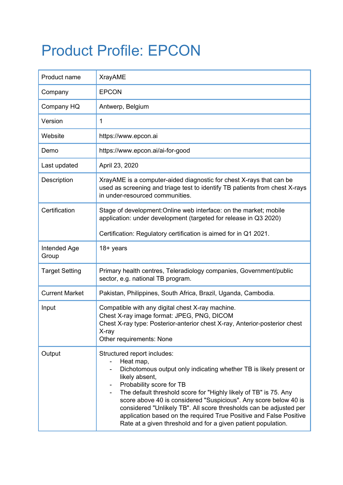## Product Profile: EPCON

| Product name          | <b>XrayAME</b>                                                                                                                                                                                                                                                                                                                                                                                                                                                                                                    |
|-----------------------|-------------------------------------------------------------------------------------------------------------------------------------------------------------------------------------------------------------------------------------------------------------------------------------------------------------------------------------------------------------------------------------------------------------------------------------------------------------------------------------------------------------------|
| Company               | <b>EPCON</b>                                                                                                                                                                                                                                                                                                                                                                                                                                                                                                      |
| Company HQ            | Antwerp, Belgium                                                                                                                                                                                                                                                                                                                                                                                                                                                                                                  |
| Version               | $\mathbf{1}$                                                                                                                                                                                                                                                                                                                                                                                                                                                                                                      |
| Website               | https://www.epcon.ai                                                                                                                                                                                                                                                                                                                                                                                                                                                                                              |
| Demo                  | https://www.epcon.ai/ai-for-good                                                                                                                                                                                                                                                                                                                                                                                                                                                                                  |
| Last updated          | April 23, 2020                                                                                                                                                                                                                                                                                                                                                                                                                                                                                                    |
| Description           | XrayAME is a computer-aided diagnostic for chest X-rays that can be<br>used as screening and triage test to identify TB patients from chest X-rays<br>in under-resourced communities.                                                                                                                                                                                                                                                                                                                             |
| Certification         | Stage of development: Online web interface: on the market; mobile<br>application: under development (targeted for release in Q3 2020)                                                                                                                                                                                                                                                                                                                                                                             |
|                       | Certification: Regulatory certification is aimed for in Q1 2021.                                                                                                                                                                                                                                                                                                                                                                                                                                                  |
| Intended Age<br>Group | 18+ years                                                                                                                                                                                                                                                                                                                                                                                                                                                                                                         |
| <b>Target Setting</b> | Primary health centres, Teleradiology companies, Government/public<br>sector, e.g. national TB program.                                                                                                                                                                                                                                                                                                                                                                                                           |
| <b>Current Market</b> | Pakistan, Philippines, South Africa, Brazil, Uganda, Cambodia.                                                                                                                                                                                                                                                                                                                                                                                                                                                    |
| Input                 | Compatible with any digital chest X-ray machine.<br>Chest X-ray image format: JPEG, PNG, DICOM<br>Chest X-ray type: Posterior-anterior chest X-ray, Anterior-posterior chest<br>X-ray<br>Other requirements: None                                                                                                                                                                                                                                                                                                 |
| Output                | Structured report includes:<br>Heat map,<br>Dichotomous output only indicating whether TB is likely present or<br>likely absent,<br>Probability score for TB<br>The default threshold score for "Highly likely of TB" is 75. Any<br>score above 40 is considered "Suspicious". Any score below 40 is<br>considered "Unlikely TB". All score thresholds can be adjusted per<br>application based on the required True Positive and False Positive<br>Rate at a given threshold and for a given patient population. |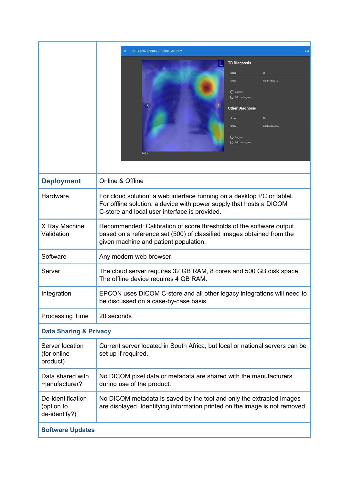|                                                  | NELSI207468861 / CHIBI FANINI^*<br>DELE<br>×                                                                                                                                                                                        |  |
|--------------------------------------------------|-------------------------------------------------------------------------------------------------------------------------------------------------------------------------------------------------------------------------------------|--|
|                                                  | <b>TB Diagnosis</b><br>Score<br>85<br>Grade<br><b>Highly likely TB</b><br>$O$ I agree<br>◯ I do not agree<br><b>Other Diagnosis</b><br>98<br>Score<br><b>Likely Abnormal</b><br>Grade<br>$O$ I agree<br>$O$ I do not agree<br>b.dcm |  |
| <b>Deployment</b>                                | Online & Offline                                                                                                                                                                                                                    |  |
| Hardware                                         | For cloud solution: a web interface running on a desktop PC or tablet.<br>For offline solution: a device with power supply that hosts a DICOM<br>C-store and local user interface is provided.                                      |  |
| X Ray Machine<br>Validation                      | Recommended: Calibration of score thresholds of the software output<br>based on a reference set (500) of classified images obtained from the<br>given machine and patient population.                                               |  |
| Software                                         | Any modern web browser.                                                                                                                                                                                                             |  |
| Server                                           | The cloud server requires 32 GB RAM, 8 cores and 500 GB disk space.<br>The offline device requires 4 GB RAM.                                                                                                                        |  |
| Integration                                      | EPCON uses DICOM C-store and all other legacy integrations will need to<br>be discussed on a case-by-case basis.                                                                                                                    |  |
| <b>Processing Time</b>                           | 20 seconds                                                                                                                                                                                                                          |  |
| <b>Data Sharing &amp; Privacy</b>                |                                                                                                                                                                                                                                     |  |
| Server location<br>(for online<br>product)       | Current server located in South Africa, but local or national servers can be<br>set up if required.                                                                                                                                 |  |
| Data shared with<br>manufacturer?                | No DICOM pixel data or metadata are shared with the manufacturers<br>during use of the product.                                                                                                                                     |  |
| De-identification<br>(option to<br>de-identify?) | No DICOM metadata is saved by the tool and only the extracted images<br>are displayed. Identifying information printed on the image is not removed.                                                                                 |  |
| <b>Software Updates</b>                          |                                                                                                                                                                                                                                     |  |